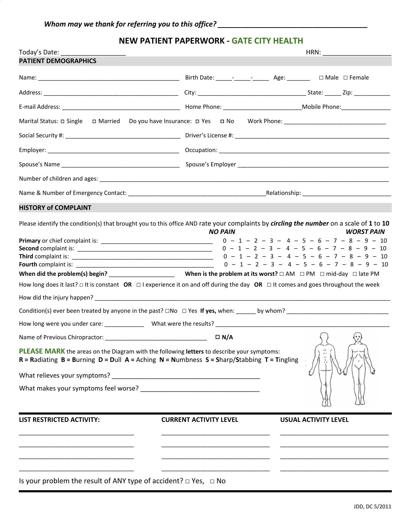# **NEW PATIENT PAPERWORK - GATE CITY HEALTH**

| Today's Date:                                                                                                                                                                                                                                                                                                                                                                                                                                                                                               |                               |                             |                                                                                                                          |
|-------------------------------------------------------------------------------------------------------------------------------------------------------------------------------------------------------------------------------------------------------------------------------------------------------------------------------------------------------------------------------------------------------------------------------------------------------------------------------------------------------------|-------------------------------|-----------------------------|--------------------------------------------------------------------------------------------------------------------------|
| <b>PATIENT DEMOGRAPHICS</b>                                                                                                                                                                                                                                                                                                                                                                                                                                                                                 |                               |                             |                                                                                                                          |
|                                                                                                                                                                                                                                                                                                                                                                                                                                                                                                             |                               |                             |                                                                                                                          |
|                                                                                                                                                                                                                                                                                                                                                                                                                                                                                                             |                               |                             |                                                                                                                          |
|                                                                                                                                                                                                                                                                                                                                                                                                                                                                                                             |                               |                             |                                                                                                                          |
|                                                                                                                                                                                                                                                                                                                                                                                                                                                                                                             |                               |                             |                                                                                                                          |
|                                                                                                                                                                                                                                                                                                                                                                                                                                                                                                             |                               |                             |                                                                                                                          |
|                                                                                                                                                                                                                                                                                                                                                                                                                                                                                                             |                               |                             |                                                                                                                          |
|                                                                                                                                                                                                                                                                                                                                                                                                                                                                                                             |                               |                             |                                                                                                                          |
|                                                                                                                                                                                                                                                                                                                                                                                                                                                                                                             |                               |                             |                                                                                                                          |
|                                                                                                                                                                                                                                                                                                                                                                                                                                                                                                             |                               |                             |                                                                                                                          |
| <b>HISTORY of COMPLAINT</b>                                                                                                                                                                                                                                                                                                                                                                                                                                                                                 |                               |                             |                                                                                                                          |
| Please identify the condition(s) that brought you to this office AND rate your complaints by circling the number on a scale of 1 to 10<br>How long does it last? $\Box$ It is constant OR $\Box$ I experience it on and off during the day OR $\Box$ It comes and goes throughout the week<br><b>PLEASE MARK</b> the areas on the Diagram with the following letters to describe your symptoms:<br>$R =$ Radiating $B =$ Burning $D =$ Dull $A =$ Aching $N =$ Numbness $S =$ Sharp/Stabbing $T =$ Tingling | <b>NO PAIN</b>                |                             | <b>WORST PAIN</b><br>$0 - 1 - 2 - 3 - 4 - 5 - 6 - 7 - 8 - 9 - 10$<br>$\langle \cdot \rangle$<br>$\overline{\mathcal{L}}$ |
| <b>LIST RESTRICTED ACTIVITY:</b>                                                                                                                                                                                                                                                                                                                                                                                                                                                                            | <b>CURRENT ACTIVITY LEVEL</b> | <b>USUAL ACTIVITY LEVEL</b> |                                                                                                                          |
| Is your problem the result of ANY type of accident? $\Box$ Yes, $\Box$ No                                                                                                                                                                                                                                                                                                                                                                                                                                   |                               |                             |                                                                                                                          |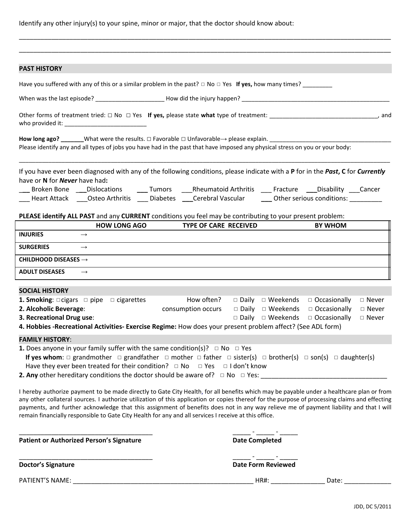Identify any other injury(s) to your spine, minor or major, that the doctor should know about:

| <b>PAST HISTORY</b>                                                                                                                                                                                                                                                                                                                                                                                                                                                                                                                            |                                  |                                                                                                                                                                                                          |
|------------------------------------------------------------------------------------------------------------------------------------------------------------------------------------------------------------------------------------------------------------------------------------------------------------------------------------------------------------------------------------------------------------------------------------------------------------------------------------------------------------------------------------------------|----------------------------------|----------------------------------------------------------------------------------------------------------------------------------------------------------------------------------------------------------|
| Have you suffered with any of this or a similar problem in the past? $\Box$ No $\Box$ Yes If yes, how many times? _________                                                                                                                                                                                                                                                                                                                                                                                                                    |                                  |                                                                                                                                                                                                          |
|                                                                                                                                                                                                                                                                                                                                                                                                                                                                                                                                                |                                  |                                                                                                                                                                                                          |
|                                                                                                                                                                                                                                                                                                                                                                                                                                                                                                                                                |                                  |                                                                                                                                                                                                          |
| How long ago? ________What were the results. $\Box$ Favorable $\Box$ Unfavorable $\rightarrow$ please explain.<br>Please identify any and all types of jobs you have had in the past that have imposed any physical stress on you or your body:                                                                                                                                                                                                                                                                                                |                                  |                                                                                                                                                                                                          |
| If you have ever been diagnosed with any of the following conditions, please indicate with a P for in the Past, C for Currently<br>have or N for Never have had:<br>Heart Attack _____Osteo Arthritis _______Diabetes _____Cerebral Vascular _______Other serious conditions: __________                                                                                                                                                                                                                                                       |                                  | Broken Bone ____Dislocations ______Tumors _____Rheumatoid Arthritis _____Fracture ____Disability ____Cancer                                                                                              |
| PLEASE identify ALL PAST and any CURRENT conditions you feel may be contributing to your present problem:                                                                                                                                                                                                                                                                                                                                                                                                                                      |                                  |                                                                                                                                                                                                          |
| <b>HOW LONG AGO</b>                                                                                                                                                                                                                                                                                                                                                                                                                                                                                                                            | <b>TYPE OF CARE RECEIVED</b>     | <b>BY WHOM</b>                                                                                                                                                                                           |
| <b>INJURIES</b><br>$\rightarrow$                                                                                                                                                                                                                                                                                                                                                                                                                                                                                                               |                                  |                                                                                                                                                                                                          |
| <b>SURGERIES</b><br>$\rightarrow$                                                                                                                                                                                                                                                                                                                                                                                                                                                                                                              |                                  |                                                                                                                                                                                                          |
| CHILDHOOD DISEASES $\rightarrow$                                                                                                                                                                                                                                                                                                                                                                                                                                                                                                               |                                  |                                                                                                                                                                                                          |
| <b>ADULT DISEASES</b><br>$\rightarrow$                                                                                                                                                                                                                                                                                                                                                                                                                                                                                                         |                                  |                                                                                                                                                                                                          |
| <b>SOCIAL HISTORY</b>                                                                                                                                                                                                                                                                                                                                                                                                                                                                                                                          |                                  |                                                                                                                                                                                                          |
| <b>1. Smoking:</b> $\Box$ cigars $\Box$ pipe $\Box$ cigarettes<br>2. Alcoholic Beverage:<br>3. Recreational Drug use:<br>4. Hobbies -Recreational Activities- Exercise Regime: How does your present problem affect? (See ADL form)                                                                                                                                                                                                                                                                                                            | How often?<br>consumption occurs | $\Box$ Daily $\Box$ Weekends<br>$\Box$ Occasionally<br>$\Box$ Never<br>□ Daily □ Weekends<br>$\Box$ Occasionally<br>$\Box$ Never<br>$\square$ Daily $\square$ Weekends<br>$\Box$ Occasionally<br>□ Never |
| <b>FAMILY HISTORY:</b>                                                                                                                                                                                                                                                                                                                                                                                                                                                                                                                         |                                  |                                                                                                                                                                                                          |
| <b>1.</b> Does anyone in your family suffer with the same condition(s)? $\Box$ No $\Box$ Yes<br>If yes whom: $\Box$ grandmother $\Box$ grandfather $\Box$ mother $\Box$ father $\Box$ sister(s) $\Box$ brother(s) $\Box$ son(s) $\Box$ daughter(s)<br>Have they ever been treated for their condition? $\Box$ No $\Box$ Yes $\Box$ I don't know<br><b>2. Any</b> other hereditary conditions the doctor should be aware of? $\Box$ No $\Box$ Yes:                                                                                              |                                  |                                                                                                                                                                                                          |
| I hereby authorize payment to be made directly to Gate City Health, for all benefits which may be payable under a healthcare plan or from<br>any other collateral sources. I authorize utilization of this application or copies thereof for the purpose of processing claims and effecting<br>payments, and further acknowledge that this assignment of benefits does not in any way relieve me of payment liability and that I will<br>remain financially responsible to Gate City Health for any and all services I receive at this office. |                                  |                                                                                                                                                                                                          |
| <b>Patient or Authorized Person's Signature</b>                                                                                                                                                                                                                                                                                                                                                                                                                                                                                                | <b>Date Completed</b>            |                                                                                                                                                                                                          |
| <b>Doctor's Signature</b>                                                                                                                                                                                                                                                                                                                                                                                                                                                                                                                      |                                  | <b>Date Form Reviewed</b>                                                                                                                                                                                |
| PATIENT'S NAME:                                                                                                                                                                                                                                                                                                                                                                                                                                                                                                                                |                                  | HR#: _______________<br>Date:                                                                                                                                                                            |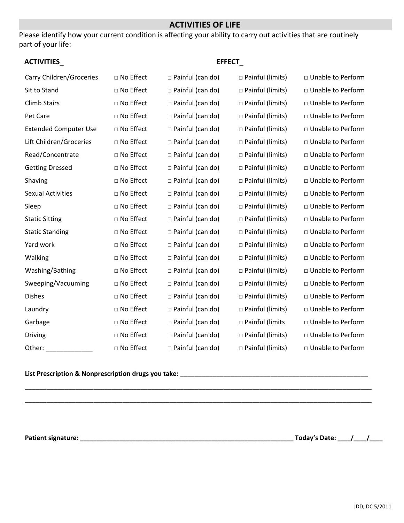## **ACTIVITIES OF LIFE**

Please identify how your current condition is affecting your ability to carry out activities that are routinely part of your life:

| <b>ACTIVITIES</b>            | EFFECT_     |                         |                         |                     |  |  |  |  |  |
|------------------------------|-------------|-------------------------|-------------------------|---------------------|--|--|--|--|--|
| Carry Children/Groceries     | □ No Effect | $\Box$ Painful (can do) | $\Box$ Painful (limits) | □ Unable to Perform |  |  |  |  |  |
| Sit to Stand                 | □ No Effect | $\Box$ Painful (can do) | □ Painful (limits)      | □ Unable to Perform |  |  |  |  |  |
| <b>Climb Stairs</b>          | □ No Effect | $\Box$ Painful (can do) | □ Painful (limits)      | □ Unable to Perform |  |  |  |  |  |
| Pet Care                     | □ No Effect | $\Box$ Painful (can do) | $\Box$ Painful (limits) | □ Unable to Perform |  |  |  |  |  |
| <b>Extended Computer Use</b> | □ No Effect | $\Box$ Painful (can do) | □ Painful (limits)      | □ Unable to Perform |  |  |  |  |  |
| Lift Children/Groceries      | □ No Effect | $\Box$ Painful (can do) | $\Box$ Painful (limits) | □ Unable to Perform |  |  |  |  |  |
| Read/Concentrate             | □ No Effect | $\Box$ Painful (can do) | $\Box$ Painful (limits) | □ Unable to Perform |  |  |  |  |  |
| <b>Getting Dressed</b>       | □ No Effect | $\Box$ Painful (can do) | □ Painful (limits)      | □ Unable to Perform |  |  |  |  |  |
| Shaving                      | □ No Effect | $\Box$ Painful (can do) | $\Box$ Painful (limits) | □ Unable to Perform |  |  |  |  |  |
| <b>Sexual Activities</b>     | □ No Effect | $\Box$ Painful (can do) | $\Box$ Painful (limits) | □ Unable to Perform |  |  |  |  |  |
| Sleep                        | □ No Effect | $\Box$ Painful (can do) | $\Box$ Painful (limits) | □ Unable to Perform |  |  |  |  |  |
| <b>Static Sitting</b>        | □ No Effect | $\Box$ Painful (can do) | □ Painful (limits)      | □ Unable to Perform |  |  |  |  |  |
| <b>Static Standing</b>       | □ No Effect | $\Box$ Painful (can do) | $\Box$ Painful (limits) | □ Unable to Perform |  |  |  |  |  |
| Yard work                    | □ No Effect | $\Box$ Painful (can do) | □ Painful (limits)      | □ Unable to Perform |  |  |  |  |  |
| Walking                      | □ No Effect | $\Box$ Painful (can do) | $\Box$ Painful (limits) | □ Unable to Perform |  |  |  |  |  |
| Washing/Bathing              | □ No Effect | $\Box$ Painful (can do) | □ Painful (limits)      | □ Unable to Perform |  |  |  |  |  |
| Sweeping/Vacuuming           | □ No Effect | $\Box$ Painful (can do) | □ Painful (limits)      | □ Unable to Perform |  |  |  |  |  |
| <b>Dishes</b>                | □ No Effect | $\Box$ Painful (can do) | □ Painful (limits)      | □ Unable to Perform |  |  |  |  |  |
| Laundry                      | □ No Effect | $\Box$ Painful (can do) | $\Box$ Painful (limits) | □ Unable to Perform |  |  |  |  |  |
| Garbage                      | □ No Effect | $\Box$ Painful (can do) | □ Painful (limits       | □ Unable to Perform |  |  |  |  |  |
| Driving                      | □ No Effect | $\Box$ Painful (can do) | □ Painful (limits)      | □ Unable to Perform |  |  |  |  |  |
| Other:                       | □ No Effect | $\Box$ Painful (can do) | □ Painful (limits)      | □ Unable to Perform |  |  |  |  |  |

**\_\_\_\_\_\_\_\_\_\_\_\_\_\_\_\_\_\_\_\_\_\_\_\_\_\_\_\_\_\_\_\_\_\_\_\_\_\_\_\_\_\_\_\_\_\_\_\_\_\_\_\_\_\_\_\_\_\_\_\_\_\_\_\_\_\_\_\_\_\_\_\_\_\_\_\_\_\_\_\_\_\_\_\_\_\_\_\_\_\_\_\_\_\_\_\_ \_\_\_\_\_\_\_\_\_\_\_\_\_\_\_\_\_\_\_\_\_\_\_\_\_\_\_\_\_\_\_\_\_\_\_\_\_\_\_\_\_\_\_\_\_\_\_\_\_\_\_\_\_\_\_\_\_\_\_\_\_\_\_\_\_\_\_\_\_\_\_\_\_\_\_\_\_\_\_\_\_\_\_\_\_\_\_\_\_\_\_\_\_\_\_\_**

# **List Prescription & Nonprescription drugs you take: \_\_\_\_\_\_\_\_\_\_\_\_\_\_\_\_\_\_\_\_\_\_\_\_\_\_\_\_\_\_\_\_\_\_\_\_\_\_\_\_\_\_\_\_\_\_\_\_\_\_\_\_**

**Patient signature: \_\_\_\_\_\_\_\_\_\_\_\_\_\_\_\_\_\_\_\_\_\_\_\_\_\_\_\_\_\_\_\_\_\_\_\_\_\_\_\_\_\_\_\_\_\_\_\_\_\_\_\_\_\_\_\_\_\_\_\_\_\_\_\_\_ Today's Date: \_\_\_\_/\_\_\_\_/\_\_\_\_**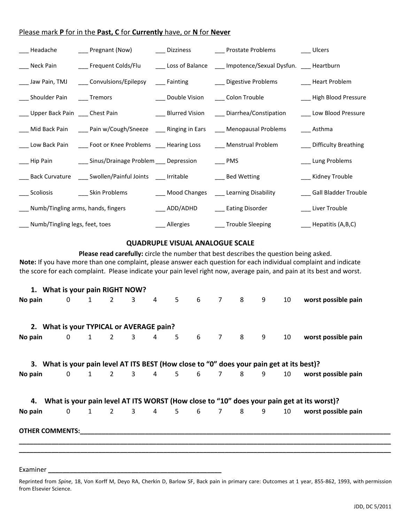#### Please mark **P** for in the **Past, C** for **Currently** have, or **N** for **Never**

|                                        |                                                                                              | ___ Headache     ___ Pregnant (Now)     ___ Dizziness     ___ Prostate Problems     ___ Ulcers                   |                          |
|----------------------------------------|----------------------------------------------------------------------------------------------|------------------------------------------------------------------------------------------------------------------|--------------------------|
|                                        |                                                                                              | ___ Neck Pain _______ Frequent Colds/Flu ______ Loss of Balance _____ Impotence/Sexual Dysfun. ____ Heartburn    |                          |
|                                        |                                                                                              | ____ Jaw Pain, TMJ _____ Convulsions/Epilepsy _____ Fainting _________ Digestive Problems ________ Heart Problem |                          |
| ___ Shoulder Pain ____ Tremors         |                                                                                              | ___ Double Vision _____ Colon Trouble                                                                            | ___ High Blood Pressure  |
| ___ Upper Back Pain ___ Chest Pain     |                                                                                              | _____ Blurred Vision ______ Diarrhea/Constipation                                                                | Low Blood Pressure       |
|                                        |                                                                                              | ___ Mid Back Pain _____ Pain w/Cough/Sneeze ____ Ringing in Ears ____ Menopausal Problems                        | ____ Asthma              |
|                                        |                                                                                              | ____ Low Back Pain ______ Foot or Knee Problems _____ Hearing Loss _______ Menstrual Problem                     | Difficulty Breathing     |
|                                        |                                                                                              |                                                                                                                  | Lung Problems            |
|                                        | ____ Back Curvature _____ Swollen/Painful Joints _____ Irritable _______________ Bed Wetting |                                                                                                                  | __ Kidney Trouble        |
|                                        | ____ Scoliosis _____ ____ Skin Problems                                                      | ___ Mood Changes ____ Learning Disability                                                                        | ___ Gall Bladder Trouble |
| ___ Numb/Tingling arms, hands, fingers |                                                                                              | ____ ADD/ADHD _____ Eating Disorder                                                                              | ____ Liver Trouble       |
| Numb/Tingling legs, feet, toes         |                                                                                              | ____ Allergies ____ ____ Trouble Sleeping                                                                        | _____ Hepatitis (A,B,C)  |

## **QUADRUPLE VISUAL ANALOGUE SCALE**

**Please read carefully:** circle the number that best describes the question being asked. **Note:** If you have more than one complaint, please answer each question for each individual complaint and indicate the score for each complaint. Please indicate your pain level right now, average pain, and pain at its best and worst.

|         | 1. What is your pain RIGHT NOW?          |                   |  |  |                     |  |                                                                                           |  |  |  |      |  |                                                                                              |
|---------|------------------------------------------|-------------------|--|--|---------------------|--|-------------------------------------------------------------------------------------------|--|--|--|------|--|----------------------------------------------------------------------------------------------|
| No pain |                                          |                   |  |  |                     |  |                                                                                           |  |  |  |      |  | 0 1 2 3 4 5 6 7 8 9 10 worst possible pain                                                   |
|         | 2. What is your TYPICAL or AVERAGE pain? |                   |  |  |                     |  |                                                                                           |  |  |  |      |  |                                                                                              |
| No pain |                                          |                   |  |  |                     |  | 0 1 2 3 4 5 6 7 8                                                                         |  |  |  | 9 10 |  | worst possible pain                                                                          |
|         |                                          |                   |  |  |                     |  | 3. What is your pain level AT ITS BEST (How close to "0" does your pain get at its best)? |  |  |  |      |  |                                                                                              |
|         |                                          |                   |  |  |                     |  | No pain 0 1 2 3 4 5 6 7 8 9                                                               |  |  |  |      |  | 10 worst possible pain                                                                       |
|         |                                          |                   |  |  |                     |  |                                                                                           |  |  |  |      |  | 4. What is your pain level AT ITS WORST (How close to "10" does your pain get at its worst)? |
| No pain |                                          | $0 \qquad \qquad$ |  |  | $1 \quad 2 \quad 3$ |  | 4 5 6 7 8                                                                                 |  |  |  |      |  | 9 10 worst possible pain                                                                     |
|         |                                          |                   |  |  |                     |  | OTHER COMMENTS: New York COMMENTS:                                                        |  |  |  |      |  |                                                                                              |
|         |                                          |                   |  |  |                     |  |                                                                                           |  |  |  |      |  |                                                                                              |
|         |                                          |                   |  |  |                     |  |                                                                                           |  |  |  |      |  |                                                                                              |

Examiner **\_\_\_\_\_\_\_\_\_\_\_\_\_\_\_\_\_\_\_\_\_\_\_\_\_\_\_\_\_\_\_\_\_\_\_\_\_\_\_\_\_\_\_\_\_\_\_\_**

Reprinted from *Spine*, 18, Von Korff M, Deyo RA, Cherkin D, Barlow SF, Back pain in primary care: Outcomes at 1 year, 855-862, 1993, with permission from Elsevier Science.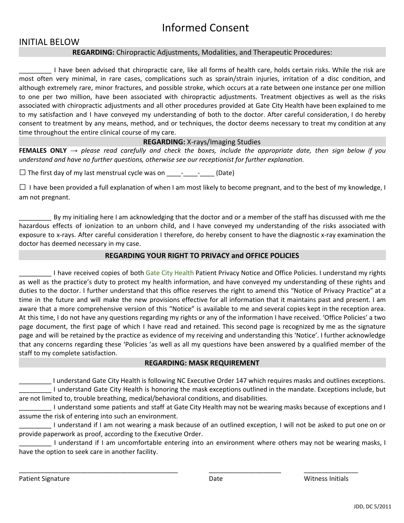# Informed Consent

## INITIAL BELOW

## **REGARDING:** Chiropractic Adjustments, Modalities, and Therapeutic Procedures:

\_\_\_\_\_\_\_\_\_ I have been advised that chiropractic care, like all forms of health care, holds certain risks. While the risk are most often very minimal, in rare cases, complications such as sprain/strain injuries, irritation of a disc condition, and although extremely rare, minor fractures, and possible stroke, which occurs at a rate between one instance per one million to one per two million, have been associated with chiropractic adjustments. Treatment objectives as well as the risks associated with chiropractic adjustments and all other procedures provided at Gate City Health have been explained to me to my satisfaction and I have conveyed my understanding of both to the doctor. After careful consideration, I do hereby consent to treatment by any means, method, and or techniques, the doctor deems necessary to treat my condition at any time throughout the entire clinical course of my care.

#### **REGARDING:** X-rays/Imaging Studies

**FEMALES ONLY**  $\rightarrow$  please read carefully and check the boxes, include the appropriate date, then sign below if you *understand and have no further questions, otherwise see our receptionist for further explanation.*

 $\square$  The first day of my last menstrual cycle was on \_\_\_\_\_\_\_\_\_\_\_\_\_\_\_\_(Date)

 $\square$  I have been provided a full explanation of when I am most likely to become pregnant, and to the best of my knowledge, I am not pregnant.

\_\_\_\_\_\_\_\_\_ By my initialing here I am acknowledging that the doctor and or a member of the staff has discussed with me the hazardous effects of ionization to an unborn child, and I have conveyed my understanding of the risks associated with exposure to x-rays. After careful consideration I therefore, do hereby consent to have the diagnostic x-ray examination the doctor has deemed necessary in my case.

#### **REGARDING YOUR RIGHT TO PRIVACY and OFFICE POLICIES**

I have received copies of both Gate City Health Patient Privacy Notice and Office Policies. I understand my rights as well as the practice's duty to protect my health information, and have conveyed my understanding of these rights and duties to the doctor. I further understand that this office reserves the right to amend this "Notice of Privacy Practice" at a time in the future and will make the new provisions effective for all information that it maintains past and present. I am aware that a more comprehensive version of this "Notice" is available to me and several copies kept in the reception area. At this time, I do not have any questions regarding my rights or any of the information I have received. 'Office Policies' a two page document, the first page of which I have read and retained. This second page is recognized by me as the signature page and will be retained by the practice as evidence of my receiving and understanding this 'Notice'. I further acknowledge that any concerns regarding these 'Policies 'as well as all my questions have been answered by a qualified member of the staff to my complete satisfaction.

#### **REGARDING: MASK REQUIREMENT**

\_\_\_\_\_\_\_\_\_ I understand Gate City Health is following NC Executive Order 147 which requires masks and outlines exceptions. \_\_\_\_\_\_\_\_\_ I understand Gate City Health is honoring the mask exceptions outlined in the mandate. Exceptions include, but are not limited to, trouble breathing, medical/behavioral conditions, and disabilities.

\_\_\_\_\_\_\_\_\_ I understand some patients and staff at Gate City Health may not be wearing masks because of exceptions and I assume the risk of entering into such an environment.

\_\_\_\_\_\_\_\_\_ I understand if I am not wearing a mask because of an outlined exception, I will not be asked to put one on or provide paperwork as proof, according to the Executive Order.

\_\_\_\_\_\_\_\_\_ I understand if I am uncomfortable entering into an environment where others may not be wearing masks, I have the option to seek care in another facility.

\_\_\_\_\_\_\_\_\_\_\_\_\_\_\_\_\_\_\_\_\_\_\_\_\_\_\_\_\_\_\_\_\_\_\_\_\_\_\_\_\_\_\_\_ \_\_\_\_\_\_\_\_\_\_\_\_\_\_\_\_\_\_\_\_ \_\_\_\_\_\_\_\_\_\_\_\_\_\_\_

Patient Signature **Date Reports Initials** Date **Date Reports Initials** Date and Mitness Initials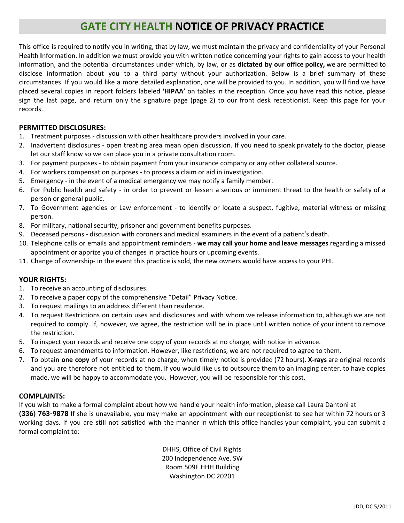# **GATE CITY HEALTH NOTICE OF PRIVACY PRACTICE**

This office is required to notify you in writing, that by law, we must maintain the privacy and confidentiality of your Personal Health **I**nformation. In addition we must provide you with written notice concerning your rights to gain access to your health information, and the potential circumstances under which, by law, or as **dictated by our office policy,** we are permitted to disclose information about you to a third party without your authorization. Below is a brief summary of these circumstances. If you would like a more detailed explanation, one will be provided to you. In addition, you will find we have placed several copies in report folders labeled **'HIPAA'** on tables in the reception. Once you have read this notice, please sign the last page, and return only the signature page (page 2) to our front desk receptionist. Keep this page for your records.

### **PERMITTED DISCLOSURES:**

- 1. Treatment purposes discussion with other healthcare providers involved in your care.
- 2. Inadvertent disclosures open treating area mean open discussion. If you need to speak privately to the doctor, please let our staff know so we can place you in a private consultation room.
- 3. For payment purposes to obtain payment from your insurance company or any other collateral source.
- 4. For workers compensation purposes to process a claim or aid in investigation.
- 5. Emergency in the event of a medical emergency we may notify a family member.
- 6. For Public health and safety in order to prevent or lessen a serious or imminent threat to the health or safety of a person or general public.
- 7. To Government agencies or Law enforcement to identify or locate a suspect, fugitive, material witness or missing person.
- 8. For military, national security, prisoner and government benefits purposes.
- 9. Deceased persons discussion with coroners and medical examiners in the event of a patient's death.
- 10. Telephone calls or emails and appointment reminders **we may call your home and leave messages** regarding a missed appointment or apprize you of changes in practice hours or upcoming events.
- 11. Change of ownership- in the event this practice is sold, the new owners would have access to your PHI.

#### **YOUR RIGHTS:**

- 1. To receive an accounting of disclosures.
- 2. To receive a paper copy of the comprehensive "Detail" Privacy Notice.
- 3. To request mailings to an address different than residence.
- 4. To request Restrictions on certain uses and disclosures and with whom we release information to, although we are not required to comply. If, however, we agree, the restriction will be in place until written notice of your intent to remove the restriction.
- 5. To inspect your records and receive one copy of your records at no charge, with notice in advance.
- 6. To request amendments to information. However, like restrictions, we are not required to agree to them.
- 7. To obtain **one copy** of your records at no charge, when timely notice is provided (72 hours). **X-rays** are original records and you are therefore not entitled to them. If you would like us to outsource them to an imaging center, to have copies made, we will be happy to accommodate you. However, you will be responsible for this cost.

## **COMPLAINTS:**

If you wish to make a formal complaint about how we handle your health information, please call Laura Dantoni at **(336) 763-9878** If she is unavailable, you may make an appointment with our receptionist to see her within 72 hours or 3 working days. If you are still not satisfied with the manner in which this office handles your complaint, you can submit a formal complaint to:

> DHHS, Office of Civil Rights 200 Independence Ave. SW Room 509F HHH Building Washington DC 20201